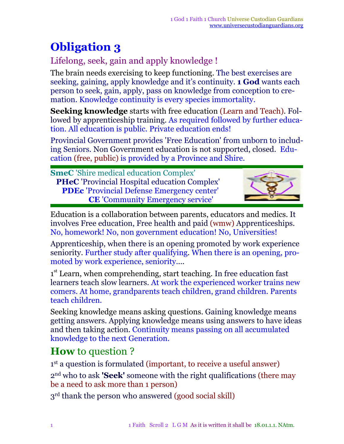# **Obligation 3**

#### Lifelong, seek, gain and apply knowledge !

The brain needs exercising to keep functioning. The best exercises are seeking, gaining, apply knowledge and it's continuity. **1 God** wants each person to seek, gain, apply, pass on knowledge from conception to cremation. Knowledge continuity is every species immortality.

**Seeking knowledge** starts with free education (Learn and Teach). Followed by apprenticeship training. As required followed by further education. All education is public. Private education ends!

Provincial Government provides 'Free Education' from unborn to including Seniors. Non Government education is not supported, closed. Education (free, public) is provided by a Province and Shire.

**SmeC** 'Shire medical education Complex' **PHeC** 'Provincial Hospital education Complex' **PDEc** 'Provincial Defense Emergency center' **CE** 'Community Emergency service'



Education is a collaboration between parents, educators and medics. It involves Free education, Free health and paid (wmw) Apprenticeships. No, homework! No, non government education! No, Universities!

Apprenticeship, when there is an opening promoted by work experience seniority. Further study after qualifying*.* When there is an opening, promoted by work experience, seniority....

1<sup>st</sup> Learn, when comprehending, start teaching. In free education fast learners teach slow learners. At work the experienced worker trains new comers. At home, grandparents teach children, grand children. Parents teach children.

Seeking knowledge means asking questions. Gaining knowledge means getting answers. Applying knowledge means using answers to have ideas and then taking action. Continuity means passing on all accumulated knowledge to the next Generation.

## **How** to question ?

1 st a question is formulated (important, to receive a useful answer) 2 nd who to ask **'Seek'** someone with the right qualifications (there may be a need to ask more than 1 person)

3<sup>rd</sup> thank the person who answered (good social skill)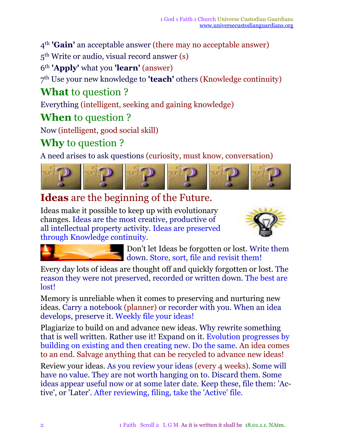4 th **'Gain'** an acceptable answer (there may no acceptable answer)

5 th Write or audio, visual record answer (s)

6 th **'Apply'** what you **'learn'** (answer)

7 th Use your new knowledge to **'teach'** others (Knowledge continuity)

## **What** to question ?

Everything (intelligent, seeking and gaining knowledge)

#### **When** to question ?

Now (intelligent, good social skill)

#### **Why** to question ?

A need arises to ask questions (curiosity, must know, conversation)



### **Ideas** are the beginning of the Future.

Ideas make it possible to keep up with evolutionary changes. Ideas are the most creative, productive of all intellectual property activity. Ideas are preserved through Knowledge continuity.





Don't let Ideas be forgotten or lost. Write them down. Store, sort, file and revisit them!

Every day lots of ideas are thought off and quickly forgotten or lost. The reason they were not preserved, recorded or written down. The best are lost!

Memory is unreliable when it comes to preserving and nurturing new ideas. Carry a notebook (planner) or recorder with you. When an idea develops, preserve it. Weekly file your ideas!

Plagiarize to build on and advance new ideas. Why rewrite something that is well written. Rather use it! Expand on it. Evolution progresses by building on existing and then creating new. Do the same. An idea comes to an end. Salvage anything that can be recycled to advance new ideas!

Review your ideas. As you review your ideas (every 4 weeks). Some will have no value. They are not worth hanging on to. Discard them. Some ideas appear useful now or at some later date. Keep these, file them: 'Active', or 'Later'. After reviewing, filing, take the 'Active' file.